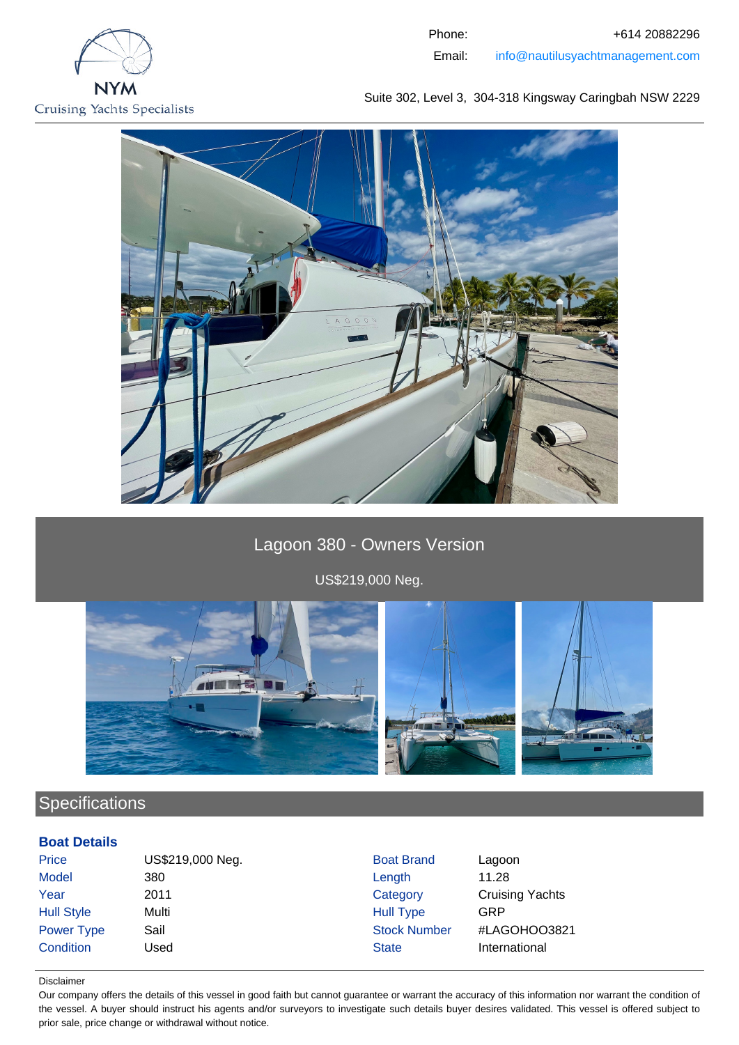

Phone: +614 20882296 Email: info@nautilusyachtmanagement.com

Suite 302, Level 3, 304-318 Kingsway Caringbah NSW 2229



Lagoon 380 - Owners Version

US\$219,000 Neg.



# **Specifications**

# **Boat Details**

| Price             | US\$219,000 Neg. | <b>Boat Brand</b>   | Lagoon                 |
|-------------------|------------------|---------------------|------------------------|
| Model             | 380              | Length              | 11.28                  |
| Year              | 2011             | Category            | <b>Cruising Yachts</b> |
| <b>Hull Style</b> | Multi            | <b>Hull Type</b>    | GRP                    |
| <b>Power Type</b> | Sail             | <b>Stock Number</b> | #LAGOHOO3821           |
| Condition         | Used             | <b>State</b>        | International          |

#### Disclaimer

Our company offers the details of this vessel in good faith but cannot guarantee or warrant the accuracy of this information nor warrant the condition of the vessel. A buyer should instruct his agents and/or surveyors to investigate such details buyer desires validated. This vessel is offered subject to prior sale, price change or withdrawal without notice.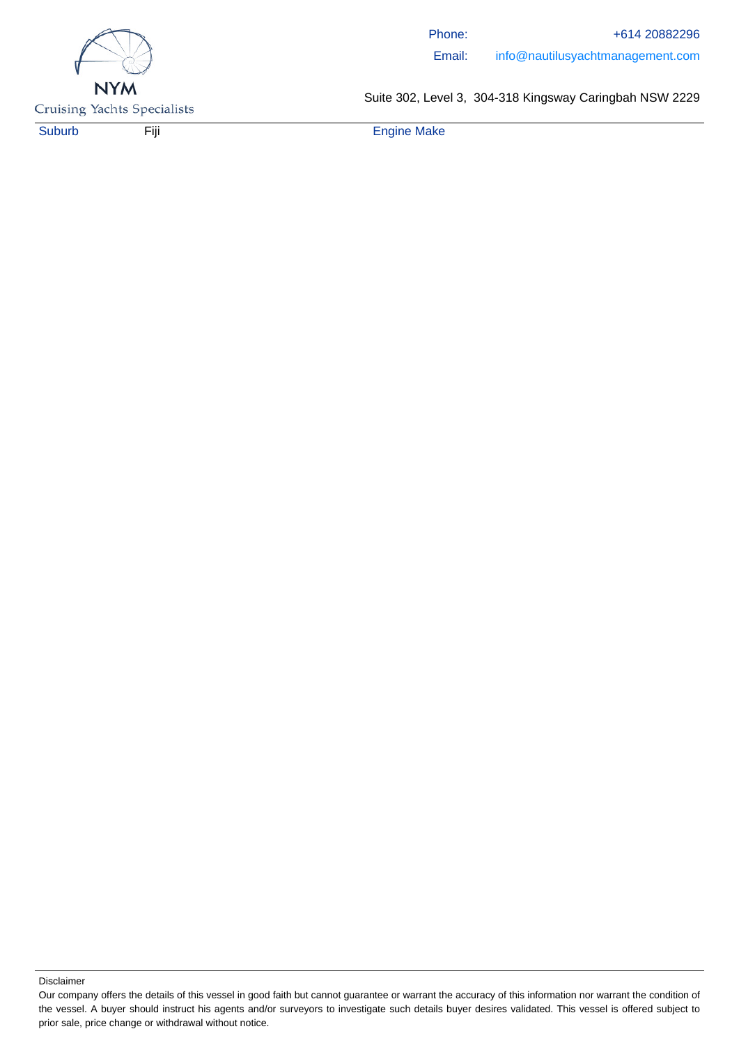

Phone: +614 20882296 Email: info@nautilusyachtmanagement.com

**Cruising Yachts Specialists** 

Suite 302, Level 3, 304-318 Kingsway Caringbah NSW 2229

Suburb Fiji Engine Make

Our company offers the details of this vessel in good faith but cannot guarantee or warrant the accuracy of this information nor warrant the condition of the vessel. A buyer should instruct his agents and/or surveyors to investigate such details buyer desires validated. This vessel is offered subject to prior sale, price change or withdrawal without notice.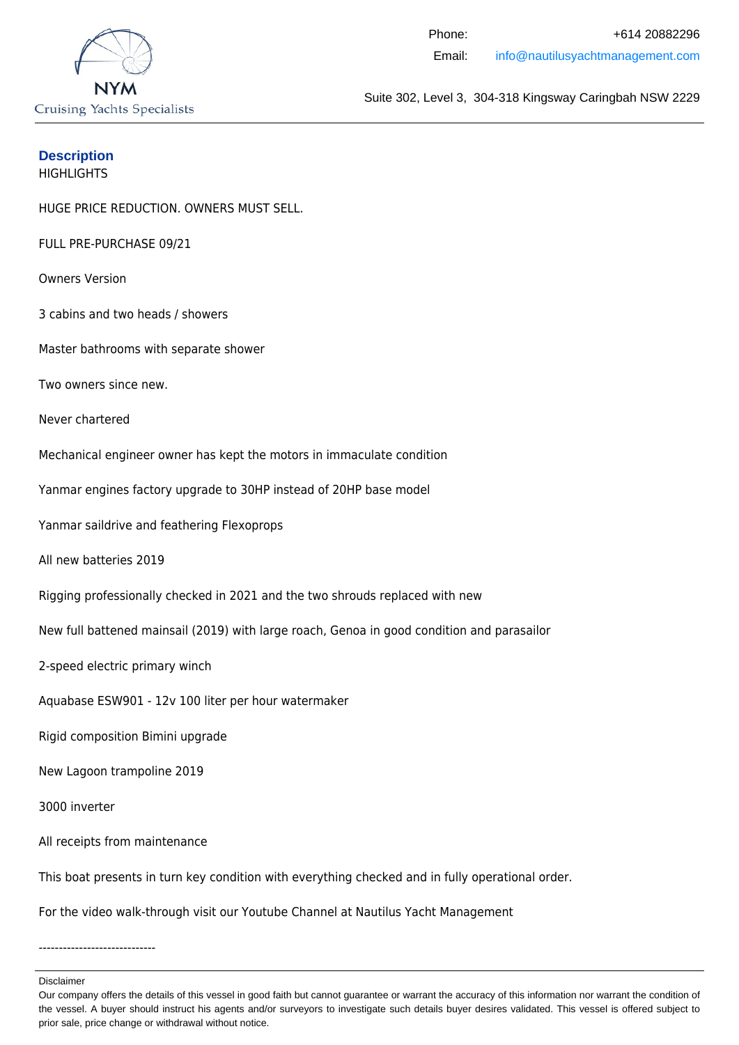

# **Description**

**HIGHLIGHTS** 

HUGE PRICE REDUCTION. OWNERS MUST SELL.

FULL PRE-PURCHASE 09/21

Owners Version

3 cabins and two heads / showers

Master bathrooms with separate shower

Two owners since new.

Never chartered

Mechanical engineer owner has kept the motors in immaculate condition

Yanmar engines factory upgrade to 30HP instead of 20HP base model

Yanmar saildrive and feathering Flexoprops

All new batteries 2019

Rigging professionally checked in 2021 and the two shrouds replaced with new

New full battened mainsail (2019) with large roach, Genoa in good condition and parasailor

2-speed electric primary winch

Aquabase ESW901 - 12v 100 liter per hour watermaker

Rigid composition Bimini upgrade

New Lagoon trampoline 2019

3000 inverter

All receipts from maintenance

This boat presents in turn key condition with everything checked and in fully operational order.

For the video walk-through visit our Youtube Channel at Nautilus Yacht Management

-----------------------------

Our company offers the details of this vessel in good faith but cannot guarantee or warrant the accuracy of this information nor warrant the condition of the vessel. A buyer should instruct his agents and/or surveyors to investigate such details buyer desires validated. This vessel is offered subject to prior sale, price change or withdrawal without notice.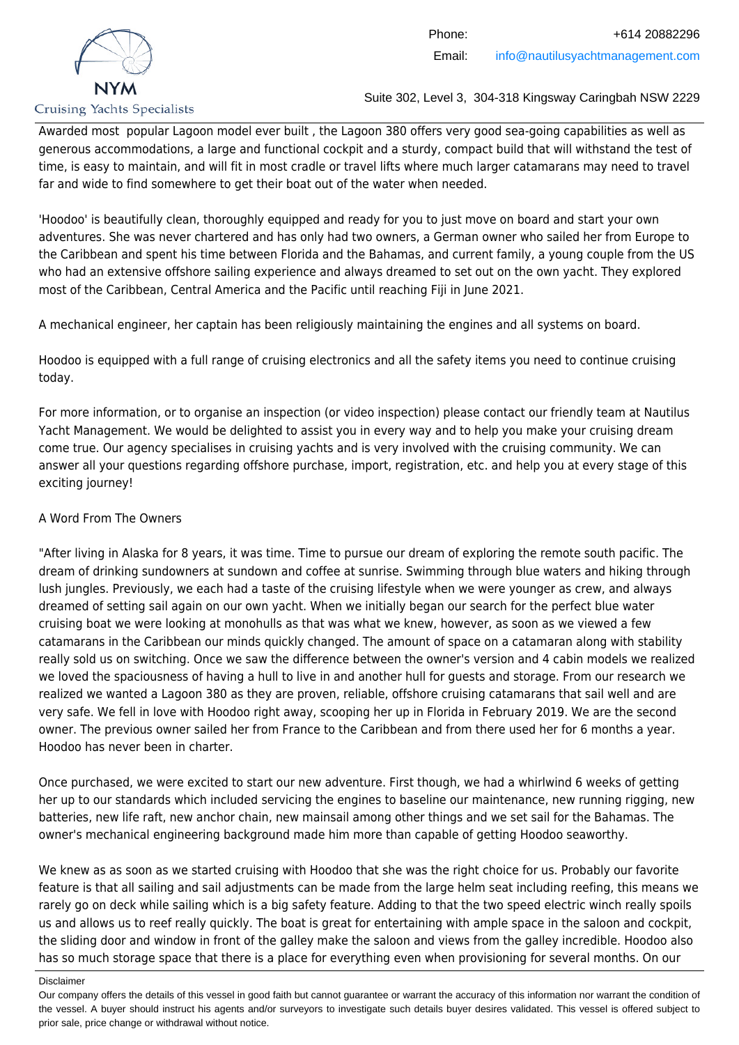

Awarded most popular Lagoon model ever built , the Lagoon 380 offers very good sea-going capabilities as well as generous accommodations, a large and functional cockpit and a sturdy, compact build that will withstand the test of time, is easy to maintain, and will fit in most cradle or travel lifts where much larger catamarans may need to travel far and wide to find somewhere to get their boat out of the water when needed.

'Hoodoo' is beautifully clean, thoroughly equipped and ready for you to just move on board and start your own adventures. She was never chartered and has only had two owners, a German owner who sailed her from Europe to the Caribbean and spent his time between Florida and the Bahamas, and current family, a young couple from the US who had an extensive offshore sailing experience and always dreamed to set out on the own yacht. They explored most of the Caribbean, Central America and the Pacific until reaching Fiji in June 2021.

A mechanical engineer, her captain has been religiously maintaining the engines and all systems on board.

Hoodoo is equipped with a full range of cruising electronics and all the safety items you need to continue cruising today.

For more information, or to organise an inspection (or video inspection) please contact our friendly team at Nautilus Yacht Management. We would be delighted to assist you in every way and to help you make your cruising dream come true. Our agency specialises in cruising yachts and is very involved with the cruising community. We can answer all your questions regarding offshore purchase, import, registration, etc. and help you at every stage of this exciting journey!

# A Word From The Owners

"After living in Alaska for 8 years, it was time. Time to pursue our dream of exploring the remote south pacific. The dream of drinking sundowners at sundown and coffee at sunrise. Swimming through blue waters and hiking through lush jungles. Previously, we each had a taste of the cruising lifestyle when we were younger as crew, and always dreamed of setting sail again on our own yacht. When we initially began our search for the perfect blue water cruising boat we were looking at monohulls as that was what we knew, however, as soon as we viewed a few catamarans in the Caribbean our minds quickly changed. The amount of space on a catamaran along with stability really sold us on switching. Once we saw the difference between the owner's version and 4 cabin models we realized we loved the spaciousness of having a hull to live in and another hull for guests and storage. From our research we realized we wanted a Lagoon 380 as they are proven, reliable, offshore cruising catamarans that sail well and are very safe. We fell in love with Hoodoo right away, scooping her up in Florida in February 2019. We are the second owner. The previous owner sailed her from France to the Caribbean and from there used her for 6 months a year. Hoodoo has never been in charter.

Once purchased, we were excited to start our new adventure. First though, we had a whirlwind 6 weeks of getting her up to our standards which included servicing the engines to baseline our maintenance, new running rigging, new batteries, new life raft, new anchor chain, new mainsail among other things and we set sail for the Bahamas. The owner's mechanical engineering background made him more than capable of getting Hoodoo seaworthy.

We knew as as soon as we started cruising with Hoodoo that she was the right choice for us. Probably our favorite feature is that all sailing and sail adjustments can be made from the large helm seat including reefing, this means we rarely go on deck while sailing which is a big safety feature. Adding to that the two speed electric winch really spoils us and allows us to reef really quickly. The boat is great for entertaining with ample space in the saloon and cockpit, the sliding door and window in front of the galley make the saloon and views from the galley incredible. Hoodoo also has so much storage space that there is a place for everything even when provisioning for several months. On our

Our company offers the details of this vessel in good faith but cannot guarantee or warrant the accuracy of this information nor warrant the condition of the vessel. A buyer should instruct his agents and/or surveyors to investigate such details buyer desires validated. This vessel is offered subject to prior sale, price change or withdrawal without notice.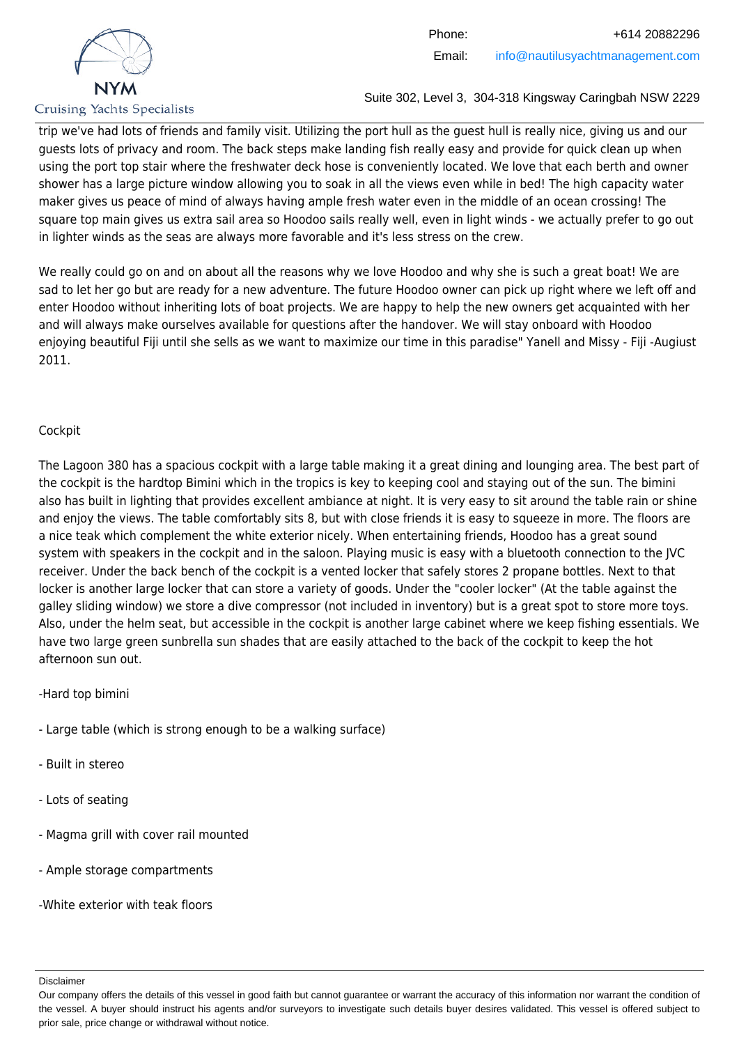

trip we've had lots of friends and family visit. Utilizing the port hull as the guest hull is really nice, giving us and our guests lots of privacy and room. The back steps make landing fish really easy and provide for quick clean up when using the port top stair where the freshwater deck hose is conveniently located. We love that each berth and owner shower has a large picture window allowing you to soak in all the views even while in bed! The high capacity water maker gives us peace of mind of always having ample fresh water even in the middle of an ocean crossing! The square top main gives us extra sail area so Hoodoo sails really well, even in light winds - we actually prefer to go out in lighter winds as the seas are always more favorable and it's less stress on the crew.

We really could go on and on about all the reasons why we love Hoodoo and why she is such a great boat! We are sad to let her go but are ready for a new adventure. The future Hoodoo owner can pick up right where we left off and enter Hoodoo without inheriting lots of boat projects. We are happy to help the new owners get acquainted with her and will always make ourselves available for questions after the handover. We will stay onboard with Hoodoo enjoying beautiful Fiji until she sells as we want to maximize our time in this paradise" Yanell and Missy - Fiji -Augiust 2011.

# **Cockpit**

The Lagoon 380 has a spacious cockpit with a large table making it a great dining and lounging area. The best part of the cockpit is the hardtop Bimini which in the tropics is key to keeping cool and staying out of the sun. The bimini also has built in lighting that provides excellent ambiance at night. It is very easy to sit around the table rain or shine and enjoy the views. The table comfortably sits 8, but with close friends it is easy to squeeze in more. The floors are a nice teak which complement the white exterior nicely. When entertaining friends, Hoodoo has a great sound system with speakers in the cockpit and in the saloon. Playing music is easy with a bluetooth connection to the JVC receiver. Under the back bench of the cockpit is a vented locker that safely stores 2 propane bottles. Next to that locker is another large locker that can store a variety of goods. Under the "cooler locker" (At the table against the galley sliding window) we store a dive compressor (not included in inventory) but is a great spot to store more toys. Also, under the helm seat, but accessible in the cockpit is another large cabinet where we keep fishing essentials. We have two large green sunbrella sun shades that are easily attached to the back of the cockpit to keep the hot afternoon sun out.

-Hard top bimini

- Large table (which is strong enough to be a walking surface)
- Built in stereo
- Lots of seating
- Magma grill with cover rail mounted
- Ample storage compartments

-White exterior with teak floors

Our company offers the details of this vessel in good faith but cannot guarantee or warrant the accuracy of this information nor warrant the condition of the vessel. A buyer should instruct his agents and/or surveyors to investigate such details buyer desires validated. This vessel is offered subject to prior sale, price change or withdrawal without notice.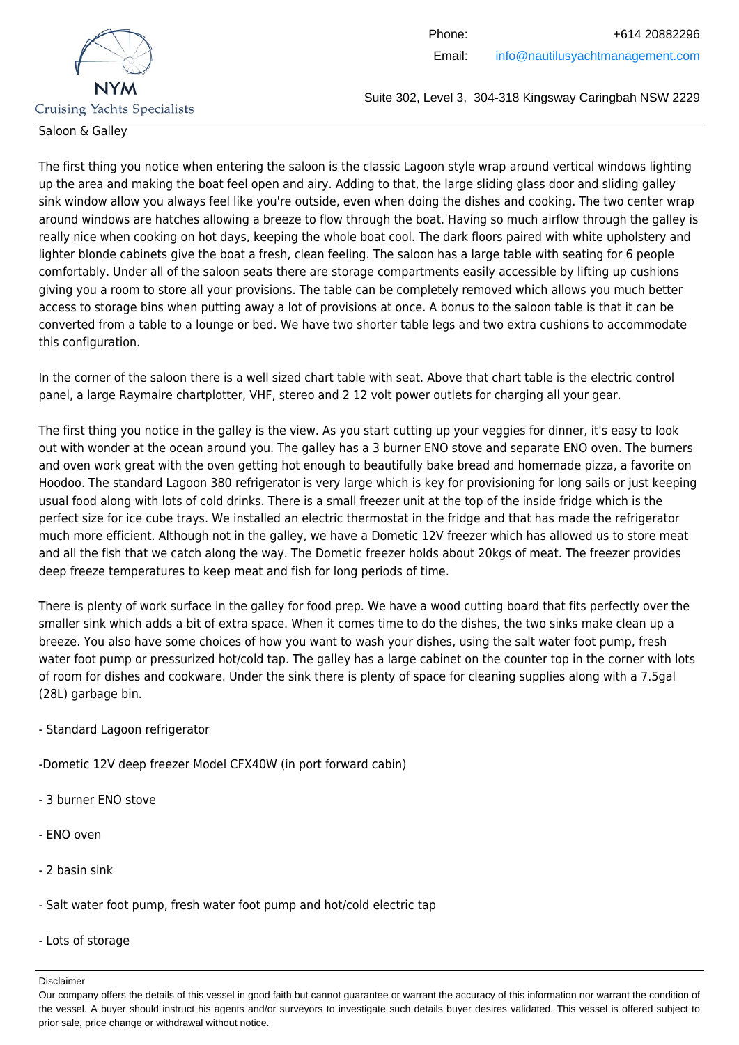

### Saloon & Galley

The first thing you notice when entering the saloon is the classic Lagoon style wrap around vertical windows lighting up the area and making the boat feel open and airy. Adding to that, the large sliding glass door and sliding galley sink window allow you always feel like you're outside, even when doing the dishes and cooking. The two center wrap around windows are hatches allowing a breeze to flow through the boat. Having so much airflow through the galley is really nice when cooking on hot days, keeping the whole boat cool. The dark floors paired with white upholstery and lighter blonde cabinets give the boat a fresh, clean feeling. The saloon has a large table with seating for 6 people comfortably. Under all of the saloon seats there are storage compartments easily accessible by lifting up cushions giving you a room to store all your provisions. The table can be completely removed which allows you much better access to storage bins when putting away a lot of provisions at once. A bonus to the saloon table is that it can be converted from a table to a lounge or bed. We have two shorter table legs and two extra cushions to accommodate this configuration.

In the corner of the saloon there is a well sized chart table with seat. Above that chart table is the electric control panel, a large Raymaire chartplotter, VHF, stereo and 2 12 volt power outlets for charging all your gear.

The first thing you notice in the galley is the view. As you start cutting up your veggies for dinner, it's easy to look out with wonder at the ocean around you. The galley has a 3 burner ENO stove and separate ENO oven. The burners and oven work great with the oven getting hot enough to beautifully bake bread and homemade pizza, a favorite on Hoodoo. The standard Lagoon 380 refrigerator is very large which is key for provisioning for long sails or just keeping usual food along with lots of cold drinks. There is a small freezer unit at the top of the inside fridge which is the perfect size for ice cube trays. We installed an electric thermostat in the fridge and that has made the refrigerator much more efficient. Although not in the galley, we have a Dometic 12V freezer which has allowed us to store meat and all the fish that we catch along the way. The Dometic freezer holds about 20kgs of meat. The freezer provides deep freeze temperatures to keep meat and fish for long periods of time.

There is plenty of work surface in the galley for food prep. We have a wood cutting board that fits perfectly over the smaller sink which adds a bit of extra space. When it comes time to do the dishes, the two sinks make clean up a breeze. You also have some choices of how you want to wash your dishes, using the salt water foot pump, fresh water foot pump or pressurized hot/cold tap. The galley has a large cabinet on the counter top in the corner with lots of room for dishes and cookware. Under the sink there is plenty of space for cleaning supplies along with a 7.5gal (28L) garbage bin.

### - Standard Lagoon refrigerator

-Dometic 12V deep freezer Model CFX40W (in port forward cabin)

- 3 burner ENO stove
- ENO oven
- 2 basin sink
- Salt water foot pump, fresh water foot pump and hot/cold electric tap
- Lots of storage

Our company offers the details of this vessel in good faith but cannot guarantee or warrant the accuracy of this information nor warrant the condition of the vessel. A buyer should instruct his agents and/or surveyors to investigate such details buyer desires validated. This vessel is offered subject to prior sale, price change or withdrawal without notice.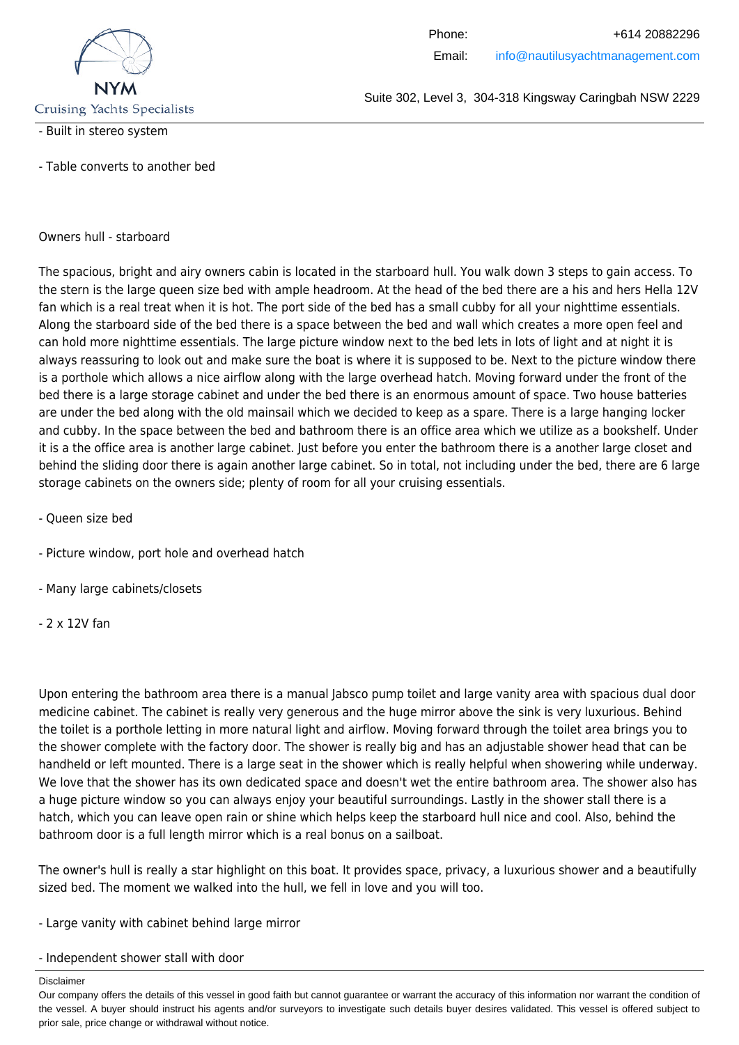

#### - Built in stereo system

- Table converts to another bed

#### Owners hull - starboard

The spacious, bright and airy owners cabin is located in the starboard hull. You walk down 3 steps to gain access. To the stern is the large queen size bed with ample headroom. At the head of the bed there are a his and hers Hella 12V fan which is a real treat when it is hot. The port side of the bed has a small cubby for all your nighttime essentials. Along the starboard side of the bed there is a space between the bed and wall which creates a more open feel and can hold more nighttime essentials. The large picture window next to the bed lets in lots of light and at night it is always reassuring to look out and make sure the boat is where it is supposed to be. Next to the picture window there is a porthole which allows a nice airflow along with the large overhead hatch. Moving forward under the front of the bed there is a large storage cabinet and under the bed there is an enormous amount of space. Two house batteries are under the bed along with the old mainsail which we decided to keep as a spare. There is a large hanging locker and cubby. In the space between the bed and bathroom there is an office area which we utilize as a bookshelf. Under it is a the office area is another large cabinet. Just before you enter the bathroom there is a another large closet and behind the sliding door there is again another large cabinet. So in total, not including under the bed, there are 6 large storage cabinets on the owners side; plenty of room for all your cruising essentials.

- Queen size bed
- Picture window, port hole and overhead hatch
- Many large cabinets/closets
- 2 x 12V fan

Upon entering the bathroom area there is a manual Jabsco pump toilet and large vanity area with spacious dual door medicine cabinet. The cabinet is really very generous and the huge mirror above the sink is very luxurious. Behind the toilet is a porthole letting in more natural light and airflow. Moving forward through the toilet area brings you to the shower complete with the factory door. The shower is really big and has an adjustable shower head that can be handheld or left mounted. There is a large seat in the shower which is really helpful when showering while underway. We love that the shower has its own dedicated space and doesn't wet the entire bathroom area. The shower also has a huge picture window so you can always enjoy your beautiful surroundings. Lastly in the shower stall there is a hatch, which you can leave open rain or shine which helps keep the starboard hull nice and cool. Also, behind the bathroom door is a full length mirror which is a real bonus on a sailboat.

The owner's hull is really a star highlight on this boat. It provides space, privacy, a luxurious shower and a beautifully sized bed. The moment we walked into the hull, we fell in love and you will too.

- Large vanity with cabinet behind large mirror
- Independent shower stall with door

Our company offers the details of this vessel in good faith but cannot guarantee or warrant the accuracy of this information nor warrant the condition of the vessel. A buyer should instruct his agents and/or surveyors to investigate such details buyer desires validated. This vessel is offered subject to prior sale, price change or withdrawal without notice.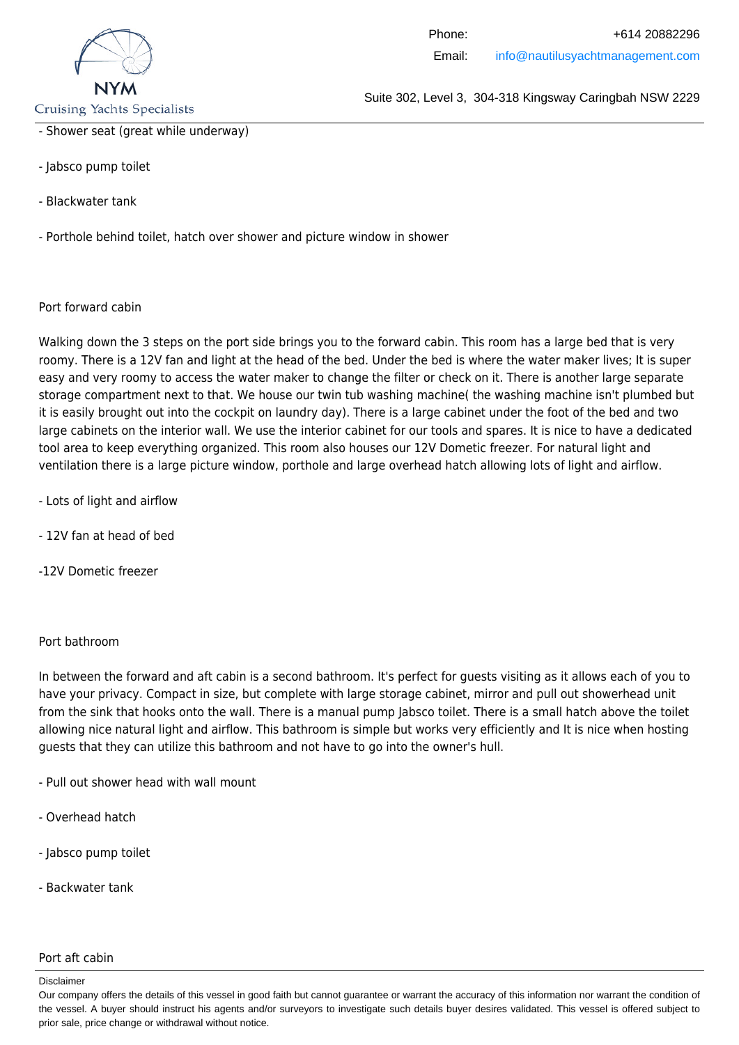

**Cruising Yachts Specialists** 

- Shower seat (great while underway)
- Jabsco pump toilet
- Blackwater tank
- Porthole behind toilet, hatch over shower and picture window in shower

Port forward cabin

Walking down the 3 steps on the port side brings you to the forward cabin. This room has a large bed that is very roomy. There is a 12V fan and light at the head of the bed. Under the bed is where the water maker lives; It is super easy and very roomy to access the water maker to change the filter or check on it. There is another large separate storage compartment next to that. We house our twin tub washing machine( the washing machine isn't plumbed but it is easily brought out into the cockpit on laundry day). There is a large cabinet under the foot of the bed and two large cabinets on the interior wall. We use the interior cabinet for our tools and spares. It is nice to have a dedicated tool area to keep everything organized. This room also houses our 12V Dometic freezer. For natural light and ventilation there is a large picture window, porthole and large overhead hatch allowing lots of light and airflow.

- Lots of light and airflow
- 12V fan at head of bed
- -12V Dometic freezer

#### Port bathroom

In between the forward and aft cabin is a second bathroom. It's perfect for guests visiting as it allows each of you to have your privacy. Compact in size, but complete with large storage cabinet, mirror and pull out showerhead unit from the sink that hooks onto the wall. There is a manual pump Jabsco toilet. There is a small hatch above the toilet allowing nice natural light and airflow. This bathroom is simple but works very efficiently and It is nice when hosting guests that they can utilize this bathroom and not have to go into the owner's hull.

- Pull out shower head with wall mount
- Overhead hatch
- Jabsco pump toilet
- Backwater tank

#### Port aft cabin

Our company offers the details of this vessel in good faith but cannot guarantee or warrant the accuracy of this information nor warrant the condition of the vessel. A buyer should instruct his agents and/or surveyors to investigate such details buyer desires validated. This vessel is offered subject to prior sale, price change or withdrawal without notice.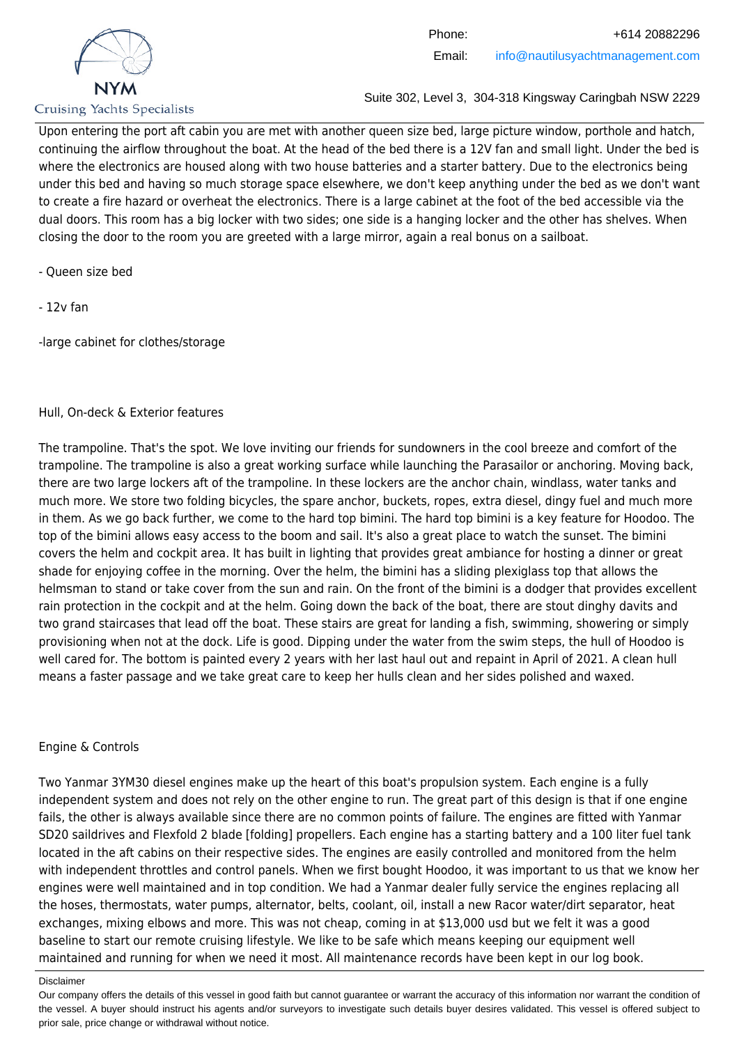

Upon entering the port aft cabin you are met with another queen size bed, large picture window, porthole and hatch, continuing the airflow throughout the boat. At the head of the bed there is a 12V fan and small light. Under the bed is where the electronics are housed along with two house batteries and a starter battery. Due to the electronics being under this bed and having so much storage space elsewhere, we don't keep anything under the bed as we don't want to create a fire hazard or overheat the electronics. There is a large cabinet at the foot of the bed accessible via the dual doors. This room has a big locker with two sides; one side is a hanging locker and the other has shelves. When closing the door to the room you are greeted with a large mirror, again a real bonus on a sailboat.

- Queen size bed
- 12v fan

-large cabinet for clothes/storage

# Hull, On-deck & Exterior features

The trampoline. That's the spot. We love inviting our friends for sundowners in the cool breeze and comfort of the trampoline. The trampoline is also a great working surface while launching the Parasailor or anchoring. Moving back, there are two large lockers aft of the trampoline. In these lockers are the anchor chain, windlass, water tanks and much more. We store two folding bicycles, the spare anchor, buckets, ropes, extra diesel, dingy fuel and much more in them. As we go back further, we come to the hard top bimini. The hard top bimini is a key feature for Hoodoo. The top of the bimini allows easy access to the boom and sail. It's also a great place to watch the sunset. The bimini covers the helm and cockpit area. It has built in lighting that provides great ambiance for hosting a dinner or great shade for enjoying coffee in the morning. Over the helm, the bimini has a sliding plexiglass top that allows the helmsman to stand or take cover from the sun and rain. On the front of the bimini is a dodger that provides excellent rain protection in the cockpit and at the helm. Going down the back of the boat, there are stout dinghy davits and two grand staircases that lead off the boat. These stairs are great for landing a fish, swimming, showering or simply provisioning when not at the dock. Life is good. Dipping under the water from the swim steps, the hull of Hoodoo is well cared for. The bottom is painted every 2 years with her last haul out and repaint in April of 2021. A clean hull means a faster passage and we take great care to keep her hulls clean and her sides polished and waxed.

# Engine & Controls

Two Yanmar 3YM30 diesel engines make up the heart of this boat's propulsion system. Each engine is a fully independent system and does not rely on the other engine to run. The great part of this design is that if one engine fails, the other is always available since there are no common points of failure. The engines are fitted with Yanmar SD20 saildrives and Flexfold 2 blade [folding] propellers. Each engine has a starting battery and a 100 liter fuel tank located in the aft cabins on their respective sides. The engines are easily controlled and monitored from the helm with independent throttles and control panels. When we first bought Hoodoo, it was important to us that we know her engines were well maintained and in top condition. We had a Yanmar dealer fully service the engines replacing all the hoses, thermostats, water pumps, alternator, belts, coolant, oil, install a new Racor water/dirt separator, heat exchanges, mixing elbows and more. This was not cheap, coming in at \$13,000 usd but we felt it was a good baseline to start our remote cruising lifestyle. We like to be safe which means keeping our equipment well maintained and running for when we need it most. All maintenance records have been kept in our log book.

Our company offers the details of this vessel in good faith but cannot guarantee or warrant the accuracy of this information nor warrant the condition of the vessel. A buyer should instruct his agents and/or surveyors to investigate such details buyer desires validated. This vessel is offered subject to prior sale, price change or withdrawal without notice.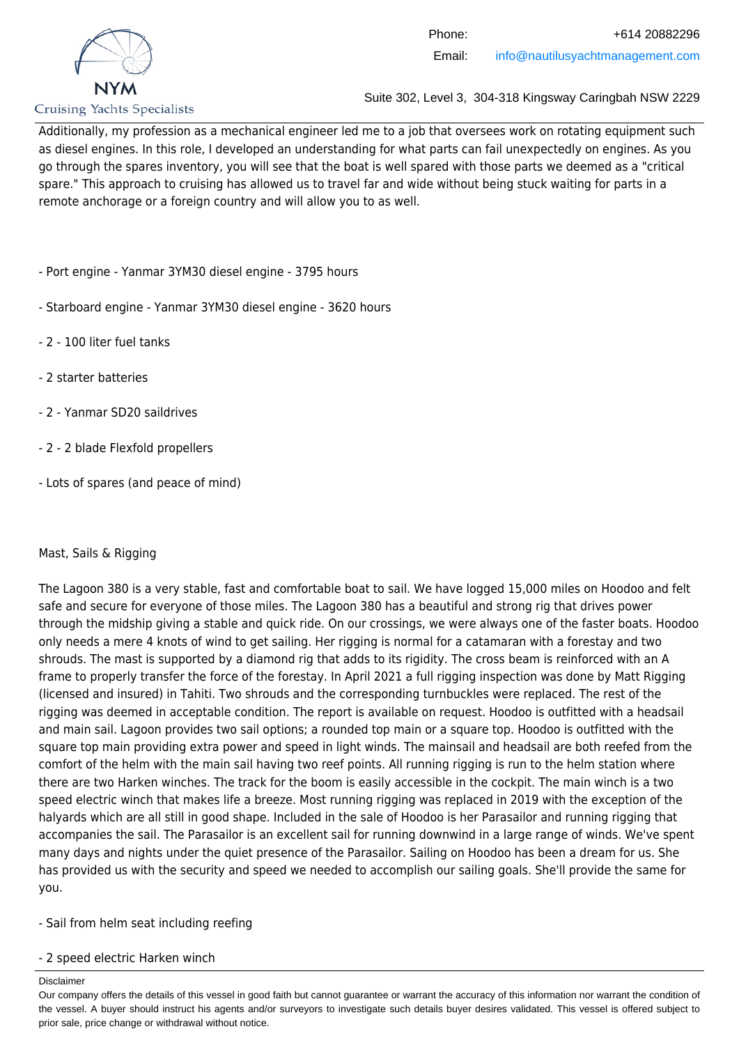

Additionally, my profession as a mechanical engineer led me to a job that oversees work on rotating equipment such as diesel engines. In this role, I developed an understanding for what parts can fail unexpectedly on engines. As you go through the spares inventory, you will see that the boat is well spared with those parts we deemed as a "critical spare." This approach to cruising has allowed us to travel far and wide without being stuck waiting for parts in a remote anchorage or a foreign country and will allow you to as well.

- Port engine Yanmar 3YM30 diesel engine 3795 hours
- Starboard engine Yanmar 3YM30 diesel engine 3620 hours
- 2 100 liter fuel tanks
- 2 starter batteries
- 2 Yanmar SD20 saildrives
- 2 2 blade Flexfold propellers
- Lots of spares (and peace of mind)

# Mast, Sails & Rigging

The Lagoon 380 is a very stable, fast and comfortable boat to sail. We have logged 15,000 miles on Hoodoo and felt safe and secure for everyone of those miles. The Lagoon 380 has a beautiful and strong rig that drives power through the midship giving a stable and quick ride. On our crossings, we were always one of the faster boats. Hoodoo only needs a mere 4 knots of wind to get sailing. Her rigging is normal for a catamaran with a forestay and two shrouds. The mast is supported by a diamond rig that adds to its rigidity. The cross beam is reinforced with an A frame to properly transfer the force of the forestay. In April 2021 a full rigging inspection was done by Matt Rigging (licensed and insured) in Tahiti. Two shrouds and the corresponding turnbuckles were replaced. The rest of the rigging was deemed in acceptable condition. The report is available on request. Hoodoo is outfitted with a headsail and main sail. Lagoon provides two sail options; a rounded top main or a square top. Hoodoo is outfitted with the square top main providing extra power and speed in light winds. The mainsail and headsail are both reefed from the comfort of the helm with the main sail having two reef points. All running rigging is run to the helm station where there are two Harken winches. The track for the boom is easily accessible in the cockpit. The main winch is a two speed electric winch that makes life a breeze. Most running rigging was replaced in 2019 with the exception of the halyards which are all still in good shape. Included in the sale of Hoodoo is her Parasailor and running rigging that accompanies the sail. The Parasailor is an excellent sail for running downwind in a large range of winds. We've spent many days and nights under the quiet presence of the Parasailor. Sailing on Hoodoo has been a dream for us. She has provided us with the security and speed we needed to accomplish our sailing goals. She'll provide the same for you.

- Sail from helm seat including reefing

### - 2 speed electric Harken winch

#### Disclaimer

Our company offers the details of this vessel in good faith but cannot guarantee or warrant the accuracy of this information nor warrant the condition of the vessel. A buyer should instruct his agents and/or surveyors to investigate such details buyer desires validated. This vessel is offered subject to prior sale, price change or withdrawal without notice.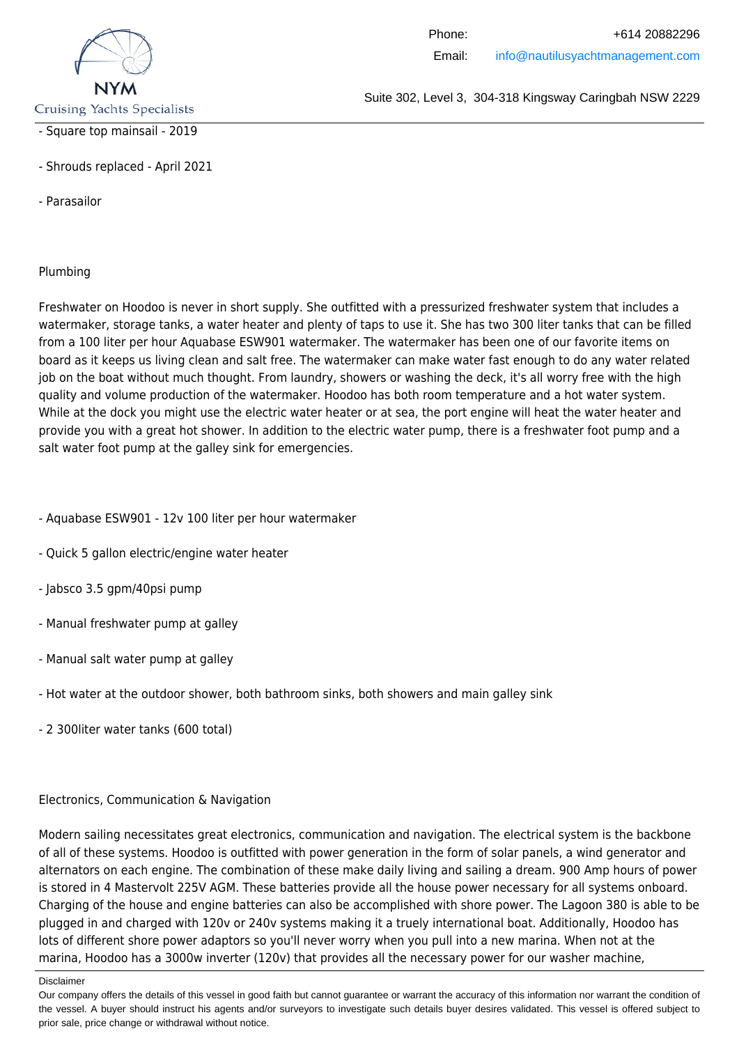

### - Square top mainsail - 2019

- Shrouds replaced - April 2021

- Parasailor

### Plumbing

Freshwater on Hoodoo is never in short supply. She outfitted with a pressurized freshwater system that includes a watermaker, storage tanks, a water heater and plenty of taps to use it. She has two 300 liter tanks that can be filled from a 100 liter per hour Aquabase ESW901 watermaker. The watermaker has been one of our favorite items on board as it keeps us living clean and salt free. The watermaker can make water fast enough to do any water related job on the boat without much thought. From laundry, showers or washing the deck, it's all worry free with the high quality and volume production of the watermaker. Hoodoo has both room temperature and a hot water system. While at the dock you might use the electric water heater or at sea, the port engine will heat the water heater and provide you with a great hot shower. In addition to the electric water pump, there is a freshwater foot pump and a salt water foot pump at the galley sink for emergencies.

- Aquabase ESW901 12v 100 liter per hour watermaker
- Quick 5 gallon electric/engine water heater
- Jabsco 3.5 gpm/40psi pump
- Manual freshwater pump at galley
- Manual salt water pump at galley
- Hot water at the outdoor shower, both bathroom sinks, both showers and main galley sink
- 2 300liter water tanks (600 total)

### Electronics, Communication & Navigation

Modern sailing necessitates great electronics, communication and navigation. The electrical system is the backbone of all of these systems. Hoodoo is outfitted with power generation in the form of solar panels, a wind generator and alternators on each engine. The combination of these make daily living and sailing a dream. 900 Amp hours of power is stored in 4 Mastervolt 225V AGM. These batteries provide all the house power necessary for all systems onboard. Charging of the house and engine batteries can also be accomplished with shore power. The Lagoon 380 is able to be plugged in and charged with 120v or 240v systems making it a truely international boat. Additionally, Hoodoo has lots of different shore power adaptors so you'll never worry when you pull into a new marina. When not at the marina, Hoodoo has a 3000w inverter (120v) that provides all the necessary power for our washer machine,

Suite 302, Level 3, 304-318 Kingsway Caringbah NSW 2229

Disclaimer

Our company offers the details of this vessel in good faith but cannot guarantee or warrant the accuracy of this information nor warrant the condition of the vessel. A buyer should instruct his agents and/or surveyors to investigate such details buyer desires validated. This vessel is offered subject to prior sale, price change or withdrawal without notice.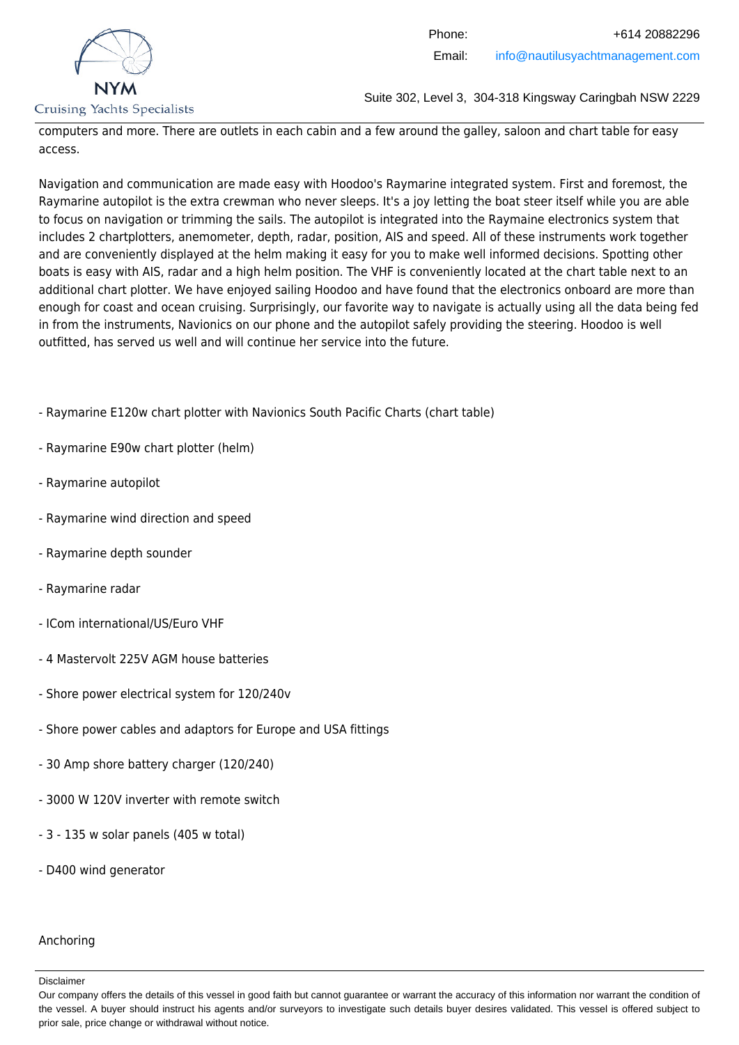

computers and more. There are outlets in each cabin and a few around the galley, saloon and chart table for easy access.

Navigation and communication are made easy with Hoodoo's Raymarine integrated system. First and foremost, the Raymarine autopilot is the extra crewman who never sleeps. It's a joy letting the boat steer itself while you are able to focus on navigation or trimming the sails. The autopilot is integrated into the Raymaine electronics system that includes 2 chartplotters, anemometer, depth, radar, position, AIS and speed. All of these instruments work together and are conveniently displayed at the helm making it easy for you to make well informed decisions. Spotting other boats is easy with AIS, radar and a high helm position. The VHF is conveniently located at the chart table next to an additional chart plotter. We have enjoyed sailing Hoodoo and have found that the electronics onboard are more than enough for coast and ocean cruising. Surprisingly, our favorite way to navigate is actually using all the data being fed in from the instruments, Navionics on our phone and the autopilot safely providing the steering. Hoodoo is well outfitted, has served us well and will continue her service into the future.

- Raymarine E120w chart plotter with Navionics South Pacific Charts (chart table)

- Raymarine E90w chart plotter (helm)
- Raymarine autopilot
- Raymarine wind direction and speed
- Raymarine depth sounder
- Raymarine radar
- ICom international/US/Euro VHF
- 4 Mastervolt 225V AGM house batteries
- Shore power electrical system for 120/240v
- Shore power cables and adaptors for Europe and USA fittings
- 30 Amp shore battery charger (120/240)
- 3000 W 120V inverter with remote switch
- 3 135 w solar panels (405 w total)
- D400 wind generator

#### Anchoring

Our company offers the details of this vessel in good faith but cannot guarantee or warrant the accuracy of this information nor warrant the condition of the vessel. A buyer should instruct his agents and/or surveyors to investigate such details buyer desires validated. This vessel is offered subject to prior sale, price change or withdrawal without notice.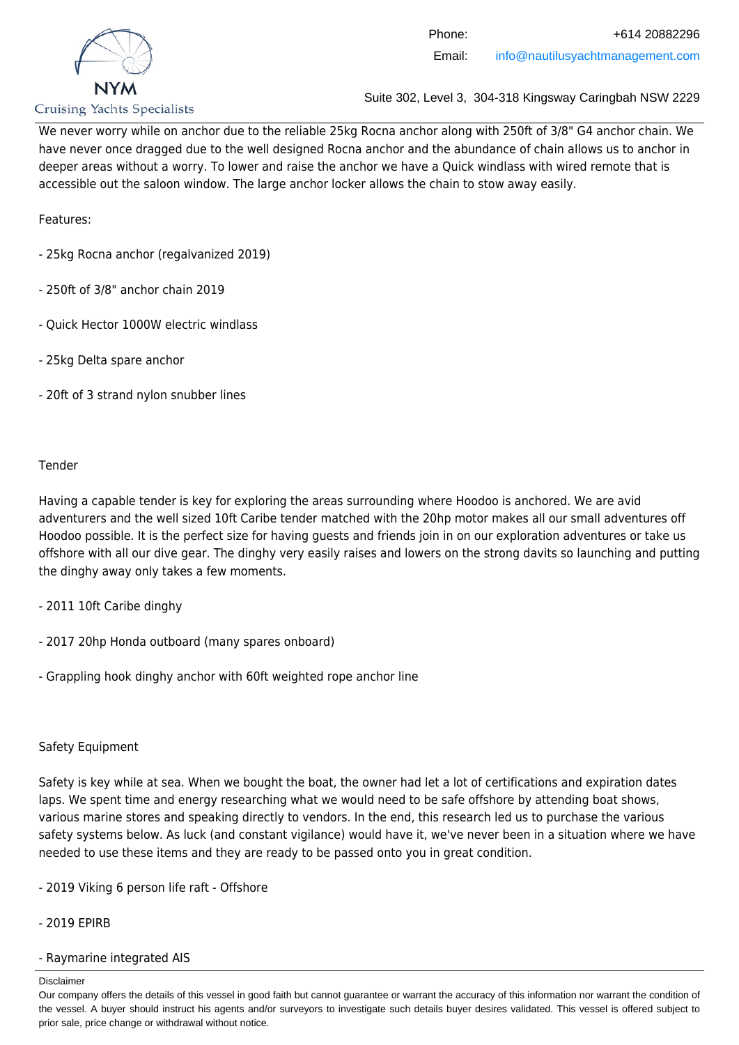

We never worry while on anchor due to the reliable 25kg Rocna anchor along with 250ft of 3/8" G4 anchor chain. We have never once dragged due to the well designed Rocna anchor and the abundance of chain allows us to anchor in deeper areas without a worry. To lower and raise the anchor we have a Quick windlass with wired remote that is accessible out the saloon window. The large anchor locker allows the chain to stow away easily.

Features:

- 25kg Rocna anchor (regalvanized 2019)
- 250ft of 3/8" anchor chain 2019
- Quick Hector 1000W electric windlass
- 25kg Delta spare anchor
- 20ft of 3 strand nylon snubber lines

### Tender

Having a capable tender is key for exploring the areas surrounding where Hoodoo is anchored. We are avid adventurers and the well sized 10ft Caribe tender matched with the 20hp motor makes all our small adventures off Hoodoo possible. It is the perfect size for having guests and friends join in on our exploration adventures or take us offshore with all our dive gear. The dinghy very easily raises and lowers on the strong davits so launching and putting the dinghy away only takes a few moments.

- 2011 10ft Caribe dinghy
- 2017 20hp Honda outboard (many spares onboard)
- Grappling hook dinghy anchor with 60ft weighted rope anchor line

### Safety Equipment

Safety is key while at sea. When we bought the boat, the owner had let a lot of certifications and expiration dates laps. We spent time and energy researching what we would need to be safe offshore by attending boat shows, various marine stores and speaking directly to vendors. In the end, this research led us to purchase the various safety systems below. As luck (and constant vigilance) would have it, we've never been in a situation where we have needed to use these items and they are ready to be passed onto you in great condition.

- 2019 Viking 6 person life raft Offshore
- 2019 EPIRB
- Raymarine integrated AIS

#### Disclaimer

Our company offers the details of this vessel in good faith but cannot guarantee or warrant the accuracy of this information nor warrant the condition of the vessel. A buyer should instruct his agents and/or surveyors to investigate such details buyer desires validated. This vessel is offered subject to prior sale, price change or withdrawal without notice.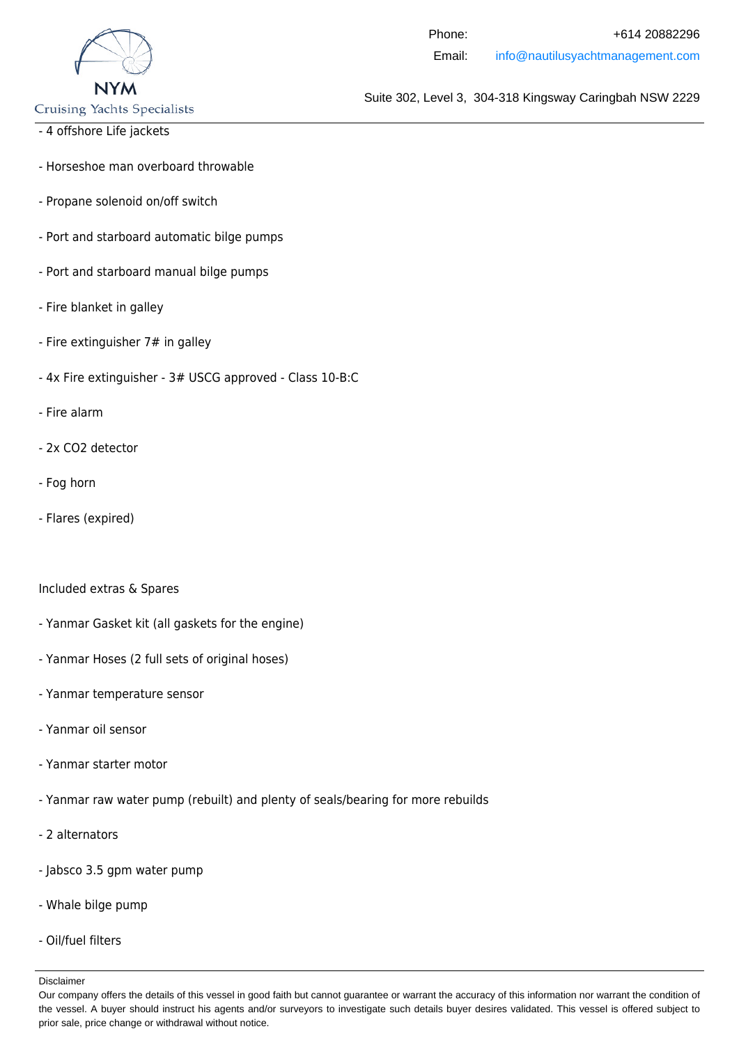

**Cruising Yachts Specialists** 

- 4 offshore Life jackets
- Horseshoe man overboard throwable
- Propane solenoid on/off switch
- Port and starboard automatic bilge pumps
- Port and starboard manual bilge pumps
- Fire blanket in galley
- Fire extinguisher 7# in galley
- 4x Fire extinguisher 3# USCG approved Class 10-B:C
- Fire alarm
- 2x CO2 detector
- Fog horn
- Flares (expired)

#### Included extras & Spares

- Yanmar Gasket kit (all gaskets for the engine)
- Yanmar Hoses (2 full sets of original hoses)
- Yanmar temperature sensor
- Yanmar oil sensor
- Yanmar starter motor
- Yanmar raw water pump (rebuilt) and plenty of seals/bearing for more rebuilds
- 2 alternators
- Jabsco 3.5 gpm water pump
- Whale bilge pump
- Oil/fuel filters

Our company offers the details of this vessel in good faith but cannot guarantee or warrant the accuracy of this information nor warrant the condition of the vessel. A buyer should instruct his agents and/or surveyors to investigate such details buyer desires validated. This vessel is offered subject to prior sale, price change or withdrawal without notice.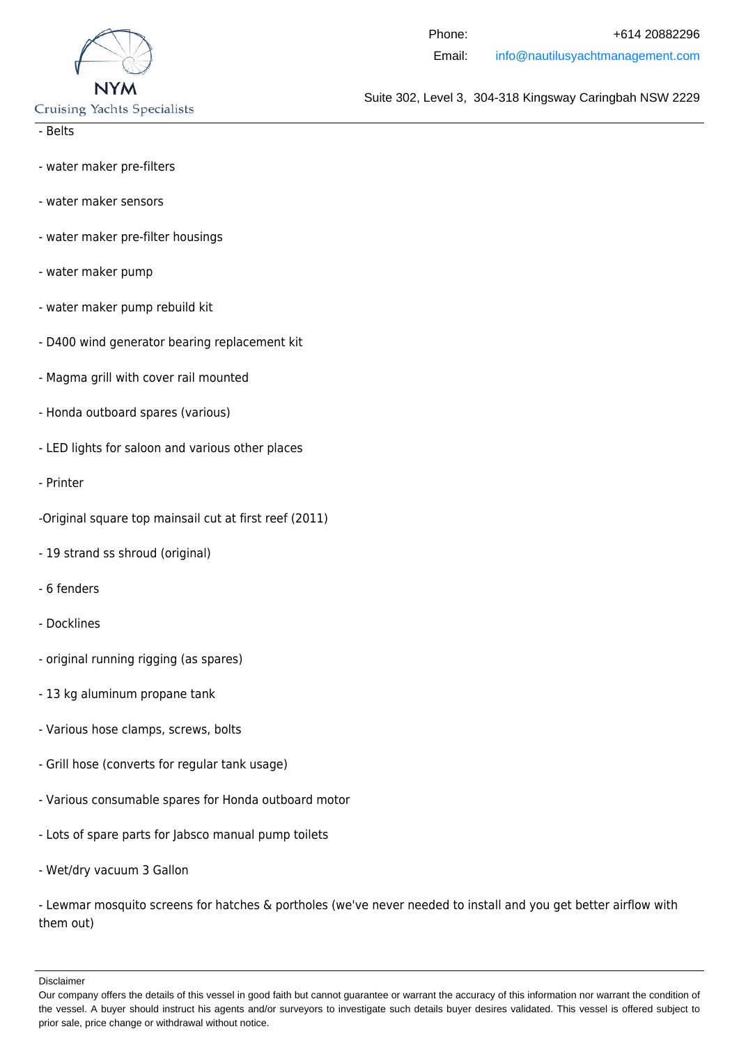

**Cruising Yachts Specialists** 

- Belts

- water maker pre-filters
- water maker sensors
- water maker pre-filter housings
- water maker pump
- water maker pump rebuild kit
- D400 wind generator bearing replacement kit
- Magma grill with cover rail mounted
- Honda outboard spares (various)
- LED lights for saloon and various other places
- Printer
- -Original square top mainsail cut at first reef (2011)
- 19 strand ss shroud (original)
- 6 fenders
- Docklines
- original running rigging (as spares)
- 13 kg aluminum propane tank
- Various hose clamps, screws, bolts
- Grill hose (converts for regular tank usage)
- Various consumable spares for Honda outboard motor
- Lots of spare parts for Jabsco manual pump toilets
- Wet/dry vacuum 3 Gallon

- Lewmar mosquito screens for hatches & portholes (we've never needed to install and you get better airflow with them out)

Our company offers the details of this vessel in good faith but cannot guarantee or warrant the accuracy of this information nor warrant the condition of the vessel. A buyer should instruct his agents and/or surveyors to investigate such details buyer desires validated. This vessel is offered subject to prior sale, price change or withdrawal without notice.